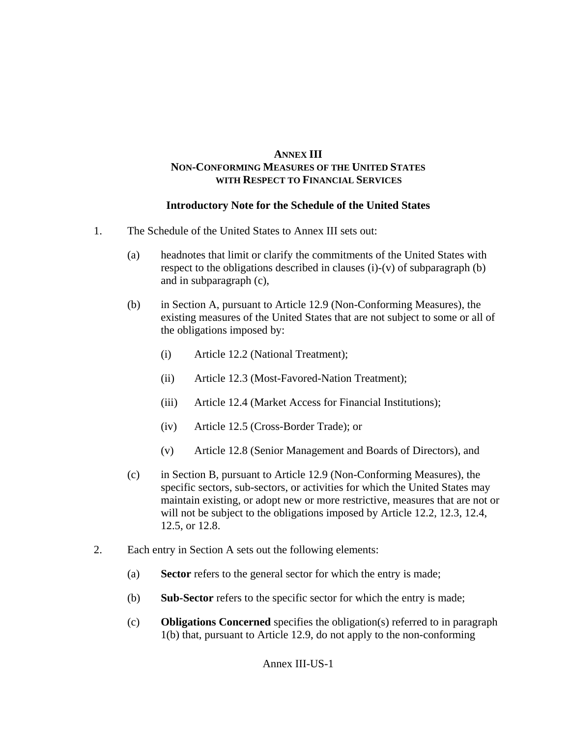### **ANNEX III NON-CONFORMING MEASURES OF THE UNITED STATES WITH RESPECT TO FINANCIAL SERVICES**

### **Introductory Note for the Schedule of the United States**

- 1. The Schedule of the United States to Annex III sets out:
	- (a) headnotes that limit or clarify the commitments of the United States with respect to the obligations described in clauses (i)-(v) of subparagraph (b) and in subparagraph (c),
	- (b) in Section A, pursuant to Article 12.9 (Non-Conforming Measures), the existing measures of the United States that are not subject to some or all of the obligations imposed by:
		- (i) Article 12.2 (National Treatment);
		- (ii) Article 12.3 (Most-Favored-Nation Treatment);
		- (iii) Article 12.4 (Market Access for Financial Institutions);
		- (iv) Article 12.5 (Cross-Border Trade); or
		- (v) Article 12.8 (Senior Management and Boards of Directors), and
	- (c) in Section B, pursuant to Article 12.9 (Non-Conforming Measures), the specific sectors, sub-sectors, or activities for which the United States may maintain existing, or adopt new or more restrictive, measures that are not or will not be subject to the obligations imposed by Article 12.2, 12.3, 12.4, 12.5, or 12.8.
- 2. Each entry in Section A sets out the following elements:
	- (a) **Sector** refers to the general sector for which the entry is made;
	- (b) **Sub-Sector** refers to the specific sector for which the entry is made;
	- (c) **Obligations Concerned** specifies the obligation(s) referred to in paragraph 1(b) that, pursuant to Article 12.9, do not apply to the non-conforming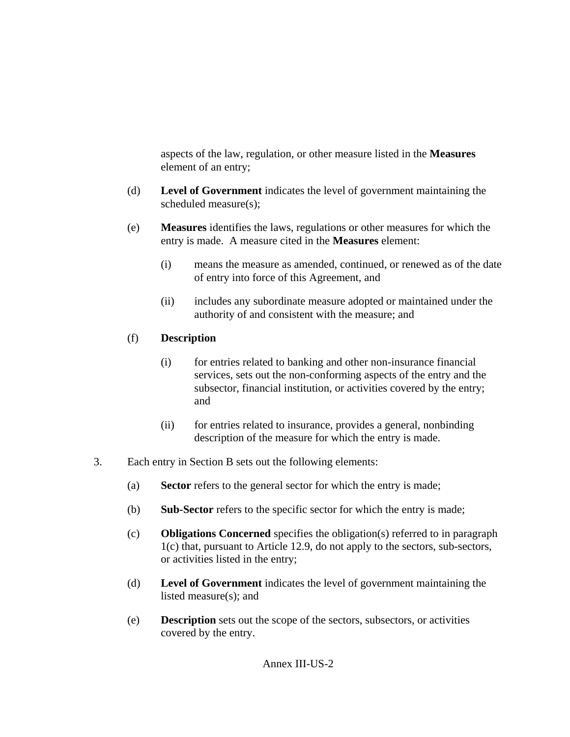aspects of the law, regulation, or other measure listed in the **Measures** element of an entry;

- (d) **Level of Government** indicates the level of government maintaining the scheduled measure(s);
- (e) **Measures** identifies the laws, regulations or other measures for which the entry is made. A measure cited in the **Measures** element:
	- (i) means the measure as amended, continued, or renewed as of the date of entry into force of this Agreement, and
	- (ii) includes any subordinate measure adopted or maintained under the authority of and consistent with the measure; and

# (f) **Description**

- (i) for entries related to banking and other non-insurance financial services, sets out the non-conforming aspects of the entry and the subsector, financial institution, or activities covered by the entry; and
- (ii) for entries related to insurance, provides a general, nonbinding description of the measure for which the entry is made.
- 3. Each entry in Section B sets out the following elements:
	- (a) **Sector** refers to the general sector for which the entry is made;
	- (b) **Sub-Sector** refers to the specific sector for which the entry is made;
	- (c) **Obligations Concerned** specifies the obligation(s) referred to in paragraph 1(c) that, pursuant to Article 12.9, do not apply to the sectors, sub-sectors, or activities listed in the entry;
	- (d) **Level of Government** indicates the level of government maintaining the listed measure(s); and
	- (e) **Description** sets out the scope of the sectors, subsectors, or activities covered by the entry.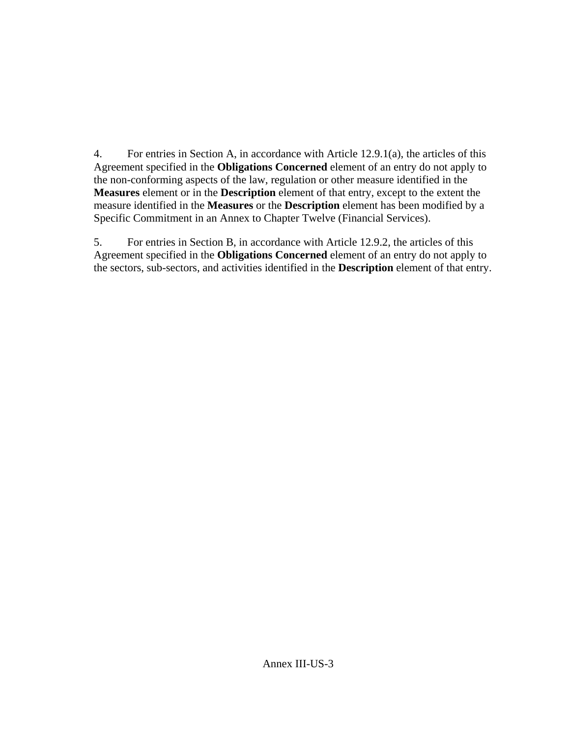4. For entries in Section A, in accordance with Article 12.9.1(a), the articles of this Agreement specified in the **Obligations Concerned** element of an entry do not apply to the non-conforming aspects of the law, regulation or other measure identified in the **Measures** element or in the **Description** element of that entry, except to the extent the measure identified in the **Measures** or the **Description** element has been modified by a Specific Commitment in an Annex to Chapter Twelve (Financial Services).

5. For entries in Section B, in accordance with Article 12.9.2, the articles of this Agreement specified in the **Obligations Concerned** element of an entry do not apply to the sectors, sub-sectors, and activities identified in the **Description** element of that entry.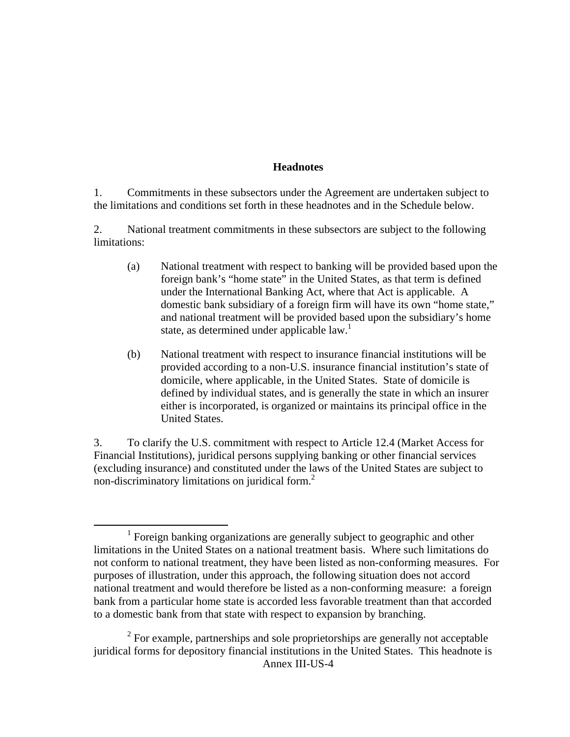#### **Headnotes**

1. Commitments in these subsectors under the Agreement are undertaken subject to the limitations and conditions set forth in these headnotes and in the Schedule below.

2. National treatment commitments in these subsectors are subject to the following limitations:

- (a) National treatment with respect to banking will be provided based upon the foreign bank's "home state" in the United States, as that term is defined under the International Banking Act, where that Act is applicable. A domestic bank subsidiary of a foreign firm will have its own "home state," and national treatment will be provided based upon the subsidiary's home state, as determined under applicable  $law<sup>1</sup>$ .
- (b) National treatment with respect to insurance financial institutions will be provided according to a non-U.S. insurance financial institution's state of domicile, where applicable, in the United States. State of domicile is defined by individual states, and is generally the state in which an insurer either is incorporated, is organized or maintains its principal office in the United States.

3. To clarify the U.S. commitment with respect to Article 12.4 (Market Access for Financial Institutions), juridical persons supplying banking or other financial services (excluding insurance) and constituted under the laws of the United States are subject to non-discriminatory limitations on juridical form.<sup>2</sup>

<sup>&</sup>lt;u>1</u>  $1$  Foreign banking organizations are generally subject to geographic and other limitations in the United States on a national treatment basis. Where such limitations do not conform to national treatment, they have been listed as non-conforming measures. For purposes of illustration, under this approach, the following situation does not accord national treatment and would therefore be listed as a non-conforming measure: a foreign bank from a particular home state is accorded less favorable treatment than that accorded to a domestic bank from that state with respect to expansion by branching.

Annex III-US-4  $2^2$  For example, partnerships and sole proprietorships are generally not acceptable juridical forms for depository financial institutions in the United States. This headnote is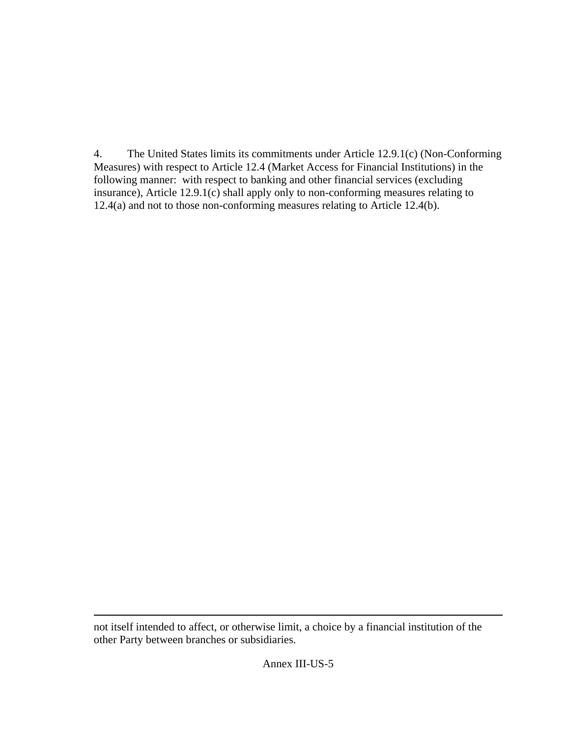4. The United States limits its commitments under Article 12.9.1(c) (Non-Conforming Measures) with respect to Article 12.4 (Market Access for Financial Institutions) in the following manner: with respect to banking and other financial services (excluding insurance), Article 12.9.1(c) shall apply only to non-conforming measures relating to 12.4(a) and not to those non-conforming measures relating to Article 12.4(b).

 $\overline{a}$ 

not itself intended to affect, or otherwise limit, a choice by a financial institution of the other Party between branches or subsidiaries.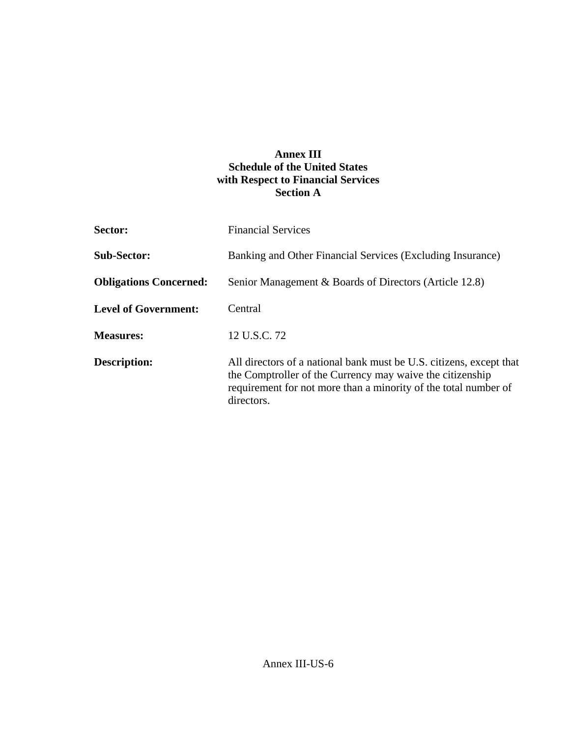## **Annex III Schedule of the United States with Respect to Financial Services Section A**

| Sector:                       | <b>Financial Services</b>                                                                                                                                                                                         |
|-------------------------------|-------------------------------------------------------------------------------------------------------------------------------------------------------------------------------------------------------------------|
| <b>Sub-Sector:</b>            | Banking and Other Financial Services (Excluding Insurance)                                                                                                                                                        |
| <b>Obligations Concerned:</b> | Senior Management & Boards of Directors (Article 12.8)                                                                                                                                                            |
| <b>Level of Government:</b>   | Central                                                                                                                                                                                                           |
| <b>Measures:</b>              | 12 U.S.C. 72                                                                                                                                                                                                      |
| <b>Description:</b>           | All directors of a national bank must be U.S. citizens, except that<br>the Comptroller of the Currency may waive the citizenship<br>requirement for not more than a minority of the total number of<br>directors. |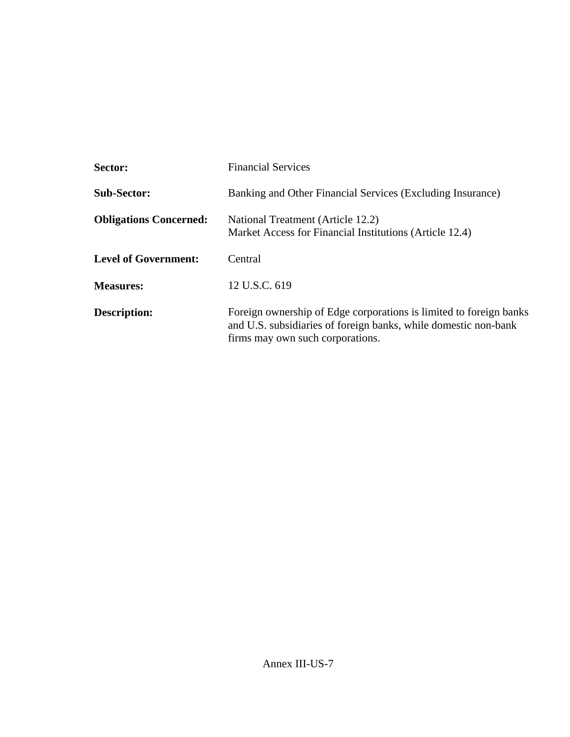| Sector:                       | <b>Financial Services</b>                                                                                                                                                 |
|-------------------------------|---------------------------------------------------------------------------------------------------------------------------------------------------------------------------|
| <b>Sub-Sector:</b>            | Banking and Other Financial Services (Excluding Insurance)                                                                                                                |
| <b>Obligations Concerned:</b> | National Treatment (Article 12.2)<br>Market Access for Financial Institutions (Article 12.4)                                                                              |
| <b>Level of Government:</b>   | Central                                                                                                                                                                   |
| <b>Measures:</b>              | 12 U.S.C. 619                                                                                                                                                             |
| <b>Description:</b>           | Foreign ownership of Edge corporations is limited to foreign banks<br>and U.S. subsidiaries of foreign banks, while domestic non-bank<br>firms may own such corporations. |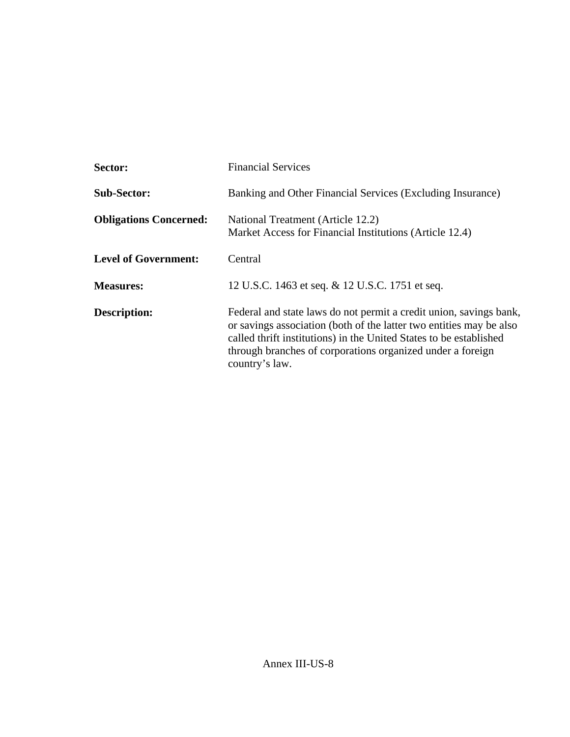| Sector:                       | <b>Financial Services</b>                                                                                                                                                                                                                                                                       |
|-------------------------------|-------------------------------------------------------------------------------------------------------------------------------------------------------------------------------------------------------------------------------------------------------------------------------------------------|
| <b>Sub-Sector:</b>            | Banking and Other Financial Services (Excluding Insurance)                                                                                                                                                                                                                                      |
| <b>Obligations Concerned:</b> | National Treatment (Article 12.2)<br>Market Access for Financial Institutions (Article 12.4)                                                                                                                                                                                                    |
| <b>Level of Government:</b>   | Central                                                                                                                                                                                                                                                                                         |
| <b>Measures:</b>              | 12 U.S.C. 1463 et seq. & 12 U.S.C. 1751 et seq.                                                                                                                                                                                                                                                 |
| <b>Description:</b>           | Federal and state laws do not permit a credit union, savings bank,<br>or savings association (both of the latter two entities may be also<br>called thrift institutions) in the United States to be established<br>through branches of corporations organized under a foreign<br>country's law. |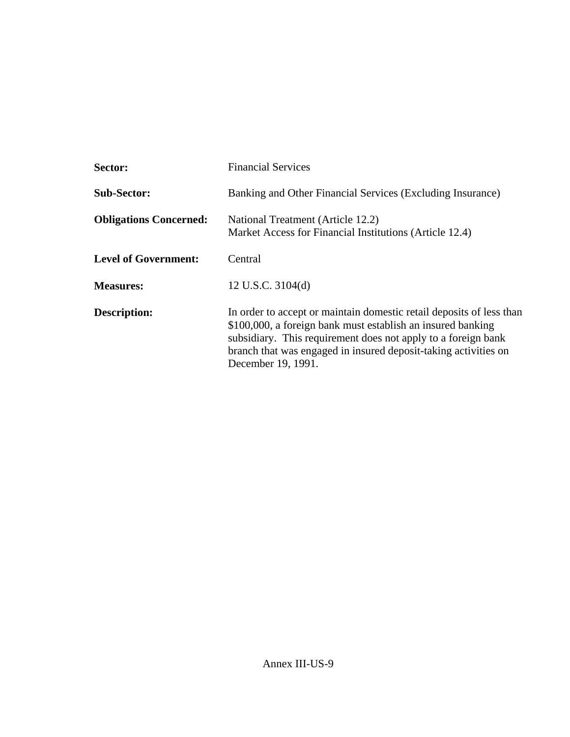| Sector:                       | <b>Financial Services</b>                                                                                                                                                                                                                                                                     |
|-------------------------------|-----------------------------------------------------------------------------------------------------------------------------------------------------------------------------------------------------------------------------------------------------------------------------------------------|
| <b>Sub-Sector:</b>            | Banking and Other Financial Services (Excluding Insurance)                                                                                                                                                                                                                                    |
| <b>Obligations Concerned:</b> | National Treatment (Article 12.2)<br>Market Access for Financial Institutions (Article 12.4)                                                                                                                                                                                                  |
| <b>Level of Government:</b>   | Central                                                                                                                                                                                                                                                                                       |
| <b>Measures:</b>              | 12 U.S.C. 3104(d)                                                                                                                                                                                                                                                                             |
| Description:                  | In order to accept or maintain domestic retail deposits of less than<br>\$100,000, a foreign bank must establish an insured banking<br>subsidiary. This requirement does not apply to a foreign bank<br>branch that was engaged in insured deposit-taking activities on<br>December 19, 1991. |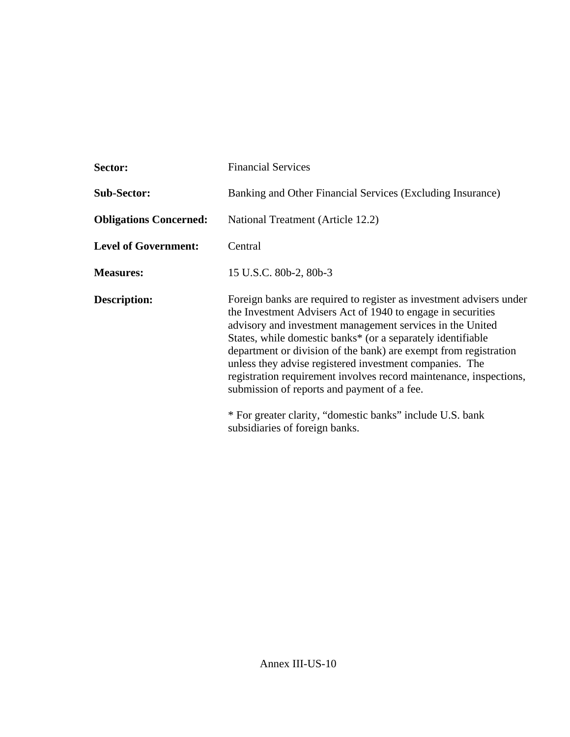| Sector:                       | <b>Financial Services</b>                                                                                                                                                                                                                                                                                                                                                                                                                                                                                                                                                                                         |
|-------------------------------|-------------------------------------------------------------------------------------------------------------------------------------------------------------------------------------------------------------------------------------------------------------------------------------------------------------------------------------------------------------------------------------------------------------------------------------------------------------------------------------------------------------------------------------------------------------------------------------------------------------------|
| <b>Sub-Sector:</b>            | Banking and Other Financial Services (Excluding Insurance)                                                                                                                                                                                                                                                                                                                                                                                                                                                                                                                                                        |
| <b>Obligations Concerned:</b> | National Treatment (Article 12.2)                                                                                                                                                                                                                                                                                                                                                                                                                                                                                                                                                                                 |
| <b>Level of Government:</b>   | Central                                                                                                                                                                                                                                                                                                                                                                                                                                                                                                                                                                                                           |
| <b>Measures:</b>              | 15 U.S.C. 80b-2, 80b-3                                                                                                                                                                                                                                                                                                                                                                                                                                                                                                                                                                                            |
| <b>Description:</b>           | Foreign banks are required to register as investment advisers under<br>the Investment Advisers Act of 1940 to engage in securities<br>advisory and investment management services in the United<br>States, while domestic banks* (or a separately identifiable<br>department or division of the bank) are exempt from registration<br>unless they advise registered investment companies. The<br>registration requirement involves record maintenance, inspections,<br>submission of reports and payment of a fee.<br>* For greater clarity, "domestic banks" include U.S. bank<br>subsidiaries of foreign banks. |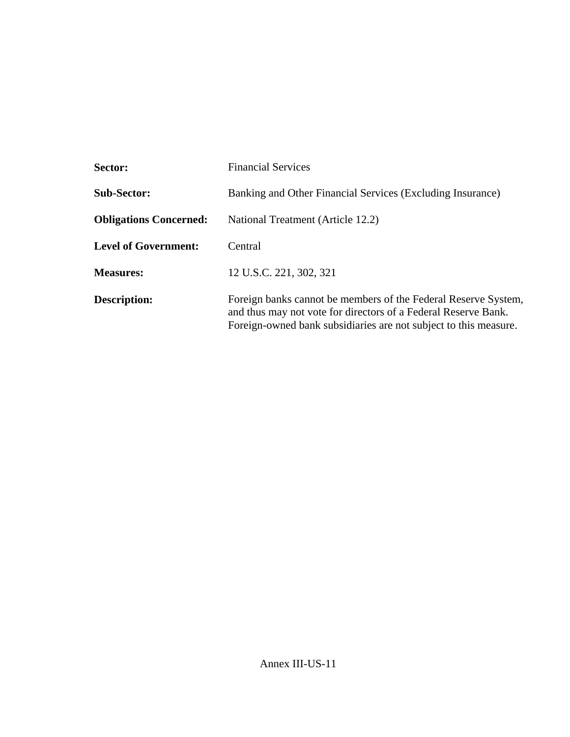| Sector:                       | <b>Financial Services</b>                                                                                                                                                                            |
|-------------------------------|------------------------------------------------------------------------------------------------------------------------------------------------------------------------------------------------------|
| <b>Sub-Sector:</b>            | Banking and Other Financial Services (Excluding Insurance)                                                                                                                                           |
| <b>Obligations Concerned:</b> | National Treatment (Article 12.2)                                                                                                                                                                    |
| <b>Level of Government:</b>   | Central                                                                                                                                                                                              |
| <b>Measures:</b>              | 12 U.S.C. 221, 302, 321                                                                                                                                                                              |
| <b>Description:</b>           | Foreign banks cannot be members of the Federal Reserve System,<br>and thus may not vote for directors of a Federal Reserve Bank.<br>Foreign-owned bank subsidiaries are not subject to this measure. |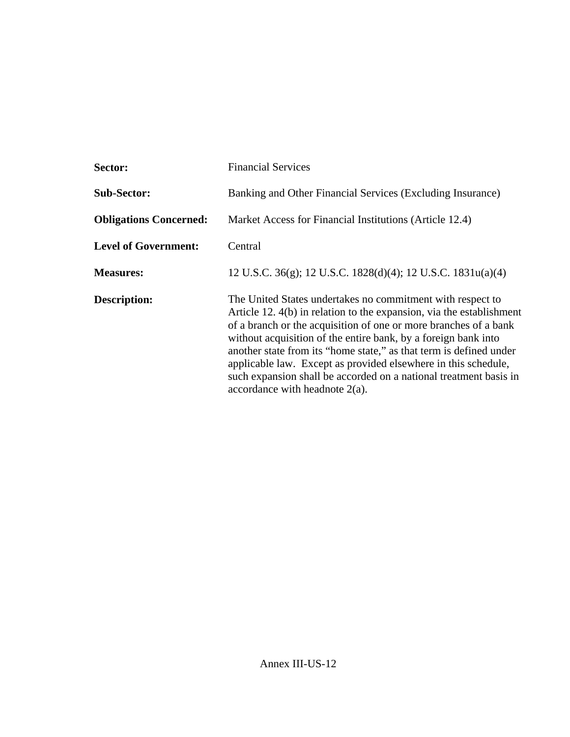| Sector:                       | <b>Financial Services</b>                                                                                                                                                                                                                                                                                                                                                                                                                                                                                                  |
|-------------------------------|----------------------------------------------------------------------------------------------------------------------------------------------------------------------------------------------------------------------------------------------------------------------------------------------------------------------------------------------------------------------------------------------------------------------------------------------------------------------------------------------------------------------------|
| <b>Sub-Sector:</b>            | Banking and Other Financial Services (Excluding Insurance)                                                                                                                                                                                                                                                                                                                                                                                                                                                                 |
| <b>Obligations Concerned:</b> | Market Access for Financial Institutions (Article 12.4)                                                                                                                                                                                                                                                                                                                                                                                                                                                                    |
| <b>Level of Government:</b>   | Central                                                                                                                                                                                                                                                                                                                                                                                                                                                                                                                    |
| <b>Measures:</b>              | 12 U.S.C. 36(g); 12 U.S.C. 1828(d)(4); 12 U.S.C. 1831u(a)(4)                                                                                                                                                                                                                                                                                                                                                                                                                                                               |
| <b>Description:</b>           | The United States undertakes no commitment with respect to<br>Article 12. 4(b) in relation to the expansion, via the establishment<br>of a branch or the acquisition of one or more branches of a bank<br>without acquisition of the entire bank, by a foreign bank into<br>another state from its "home state," as that term is defined under<br>applicable law. Except as provided elsewhere in this schedule,<br>such expansion shall be accorded on a national treatment basis in<br>accordance with headnote $2(a)$ . |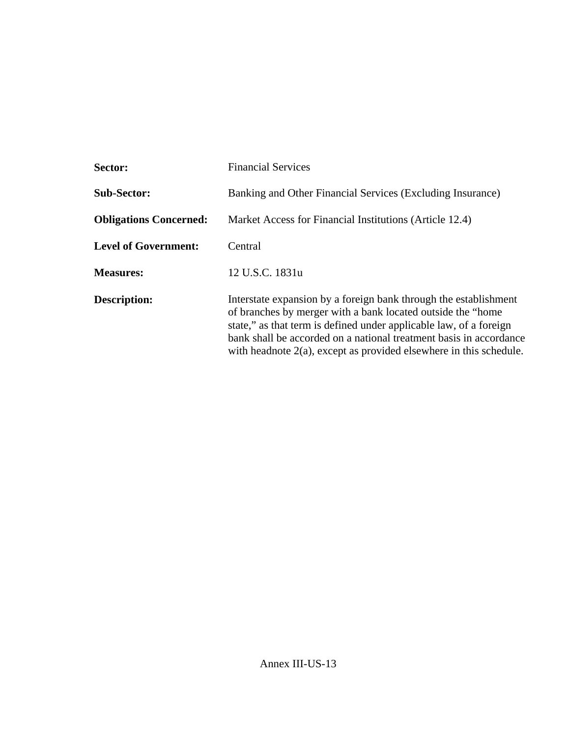| Sector:                       | <b>Financial Services</b>                                                                                                                                                                                                                                                                                                                             |
|-------------------------------|-------------------------------------------------------------------------------------------------------------------------------------------------------------------------------------------------------------------------------------------------------------------------------------------------------------------------------------------------------|
| <b>Sub-Sector:</b>            | Banking and Other Financial Services (Excluding Insurance)                                                                                                                                                                                                                                                                                            |
| <b>Obligations Concerned:</b> | Market Access for Financial Institutions (Article 12.4)                                                                                                                                                                                                                                                                                               |
| <b>Level of Government:</b>   | Central                                                                                                                                                                                                                                                                                                                                               |
| <b>Measures:</b>              | 12 U.S.C. 1831u                                                                                                                                                                                                                                                                                                                                       |
| Description:                  | Interstate expansion by a foreign bank through the establishment<br>of branches by merger with a bank located outside the "home"<br>state," as that term is defined under applicable law, of a foreign<br>bank shall be accorded on a national treatment basis in accordance<br>with headnote $2(a)$ , except as provided elsewhere in this schedule. |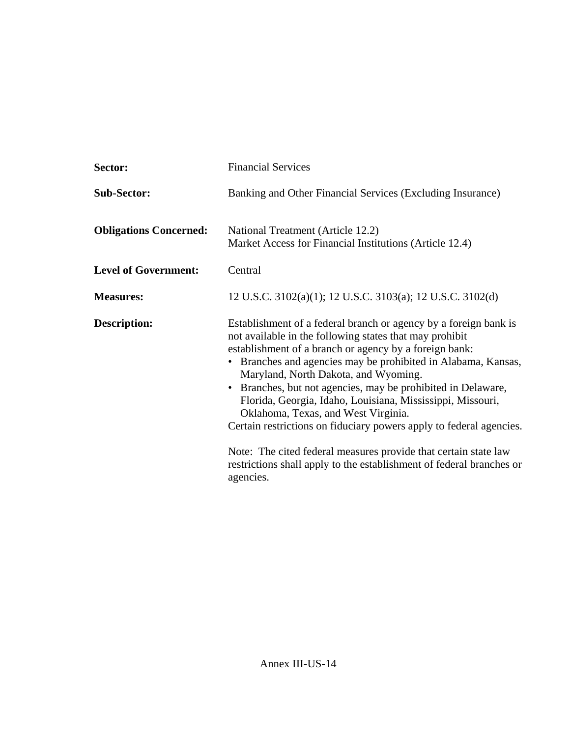| Sector:                       | <b>Financial Services</b>                                                                                                                                                                                                                                                                                                                                                                                                                                                                                                                                                                                                                                                                        |
|-------------------------------|--------------------------------------------------------------------------------------------------------------------------------------------------------------------------------------------------------------------------------------------------------------------------------------------------------------------------------------------------------------------------------------------------------------------------------------------------------------------------------------------------------------------------------------------------------------------------------------------------------------------------------------------------------------------------------------------------|
| <b>Sub-Sector:</b>            | Banking and Other Financial Services (Excluding Insurance)                                                                                                                                                                                                                                                                                                                                                                                                                                                                                                                                                                                                                                       |
| <b>Obligations Concerned:</b> | National Treatment (Article 12.2)<br>Market Access for Financial Institutions (Article 12.4)                                                                                                                                                                                                                                                                                                                                                                                                                                                                                                                                                                                                     |
| <b>Level of Government:</b>   | Central                                                                                                                                                                                                                                                                                                                                                                                                                                                                                                                                                                                                                                                                                          |
| <b>Measures:</b>              | 12 U.S.C. 3102(a)(1); 12 U.S.C. 3103(a); 12 U.S.C. 3102(d)                                                                                                                                                                                                                                                                                                                                                                                                                                                                                                                                                                                                                                       |
| <b>Description:</b>           | Establishment of a federal branch or agency by a foreign bank is<br>not available in the following states that may prohibit<br>establishment of a branch or agency by a foreign bank:<br>Branches and agencies may be prohibited in Alabama, Kansas,<br>Maryland, North Dakota, and Wyoming.<br>• Branches, but not agencies, may be prohibited in Delaware,<br>Florida, Georgia, Idaho, Louisiana, Mississippi, Missouri,<br>Oklahoma, Texas, and West Virginia.<br>Certain restrictions on fiduciary powers apply to federal agencies.<br>Note: The cited federal measures provide that certain state law<br>restrictions shall apply to the establishment of federal branches or<br>agencies. |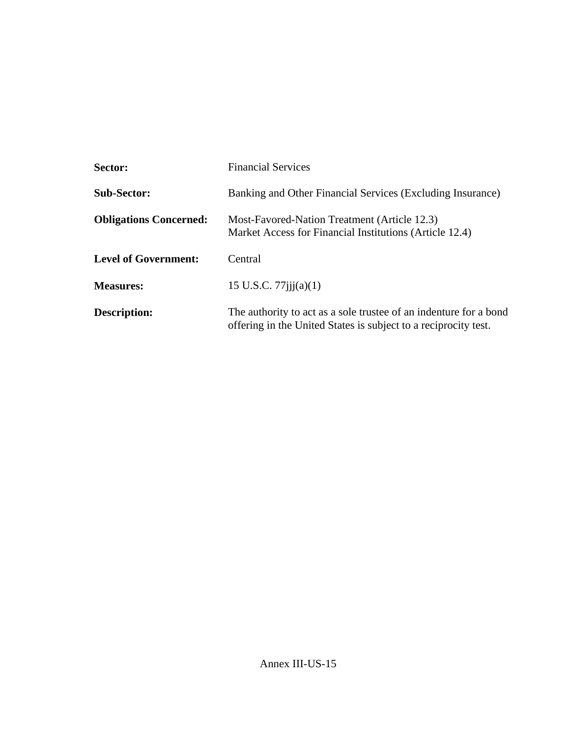| Sector:                       | <b>Financial Services</b>                                                                                                            |
|-------------------------------|--------------------------------------------------------------------------------------------------------------------------------------|
| <b>Sub-Sector:</b>            | Banking and Other Financial Services (Excluding Insurance)                                                                           |
| <b>Obligations Concerned:</b> | Most-Favored-Nation Treatment (Article 12.3)<br>Market Access for Financial Institutions (Article 12.4)                              |
| <b>Level of Government:</b>   | Central                                                                                                                              |
| <b>Measures:</b>              | 15 U.S.C. $77$ iji $(a)(1)$                                                                                                          |
| <b>Description:</b>           | The authority to act as a sole trustee of an indenture for a bond<br>offering in the United States is subject to a reciprocity test. |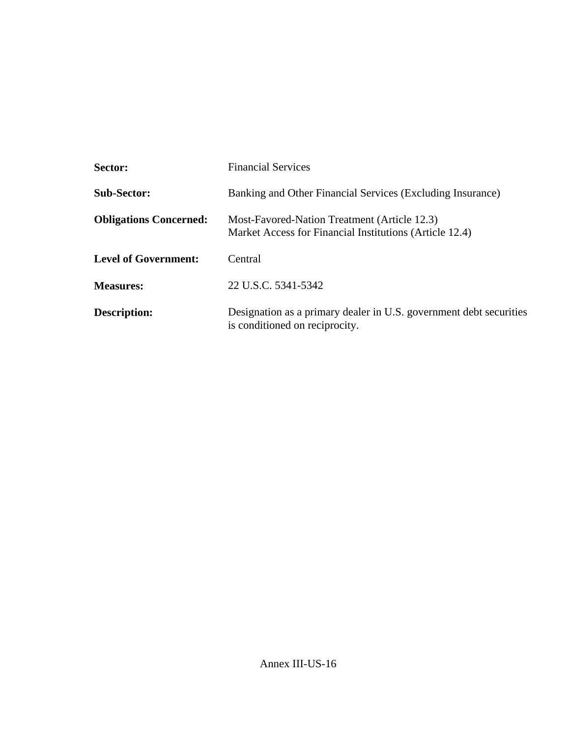| Sector:                       | <b>Financial Services</b>                                                                               |
|-------------------------------|---------------------------------------------------------------------------------------------------------|
| <b>Sub-Sector:</b>            | Banking and Other Financial Services (Excluding Insurance)                                              |
| <b>Obligations Concerned:</b> | Most-Favored-Nation Treatment (Article 12.3)<br>Market Access for Financial Institutions (Article 12.4) |
| <b>Level of Government:</b>   | Central                                                                                                 |
| <b>Measures:</b>              | 22 U.S.C. 5341-5342                                                                                     |
| <b>Description:</b>           | Designation as a primary dealer in U.S. government debt securities<br>is conditioned on reciprocity.    |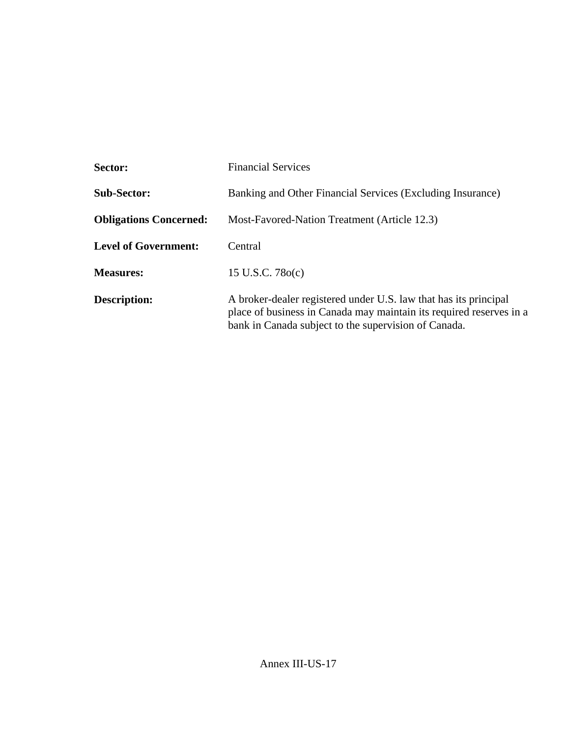| Sector:                       | <b>Financial Services</b>                                                                                                                                                                       |
|-------------------------------|-------------------------------------------------------------------------------------------------------------------------------------------------------------------------------------------------|
| <b>Sub-Sector:</b>            | Banking and Other Financial Services (Excluding Insurance)                                                                                                                                      |
| <b>Obligations Concerned:</b> | Most-Favored-Nation Treatment (Article 12.3)                                                                                                                                                    |
| <b>Level of Government:</b>   | Central                                                                                                                                                                                         |
| <b>Measures:</b>              | 15 U.S.C. 780(c)                                                                                                                                                                                |
| <b>Description:</b>           | A broker-dealer registered under U.S. law that has its principal<br>place of business in Canada may maintain its required reserves in a<br>bank in Canada subject to the supervision of Canada. |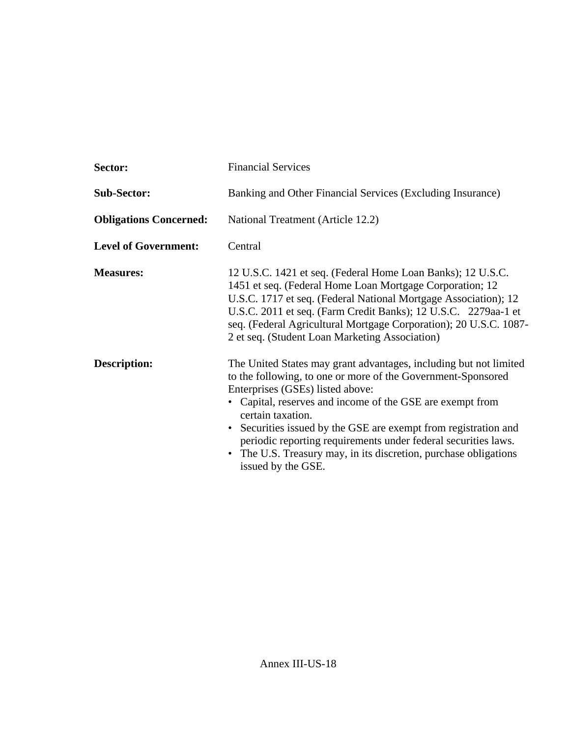| Sector:                       | <b>Financial Services</b>                                                                                                                                                                                                                                                                                                                                                                                                                                                              |
|-------------------------------|----------------------------------------------------------------------------------------------------------------------------------------------------------------------------------------------------------------------------------------------------------------------------------------------------------------------------------------------------------------------------------------------------------------------------------------------------------------------------------------|
| <b>Sub-Sector:</b>            | Banking and Other Financial Services (Excluding Insurance)                                                                                                                                                                                                                                                                                                                                                                                                                             |
| <b>Obligations Concerned:</b> | National Treatment (Article 12.2)                                                                                                                                                                                                                                                                                                                                                                                                                                                      |
| <b>Level of Government:</b>   | Central                                                                                                                                                                                                                                                                                                                                                                                                                                                                                |
| <b>Measures:</b>              | 12 U.S.C. 1421 et seq. (Federal Home Loan Banks); 12 U.S.C.<br>1451 et seq. (Federal Home Loan Mortgage Corporation; 12<br>U.S.C. 1717 et seq. (Federal National Mortgage Association); 12<br>U.S.C. 2011 et seq. (Farm Credit Banks); 12 U.S.C. 2279aa-1 et<br>seq. (Federal Agricultural Mortgage Corporation); 20 U.S.C. 1087-<br>2 et seq. (Student Loan Marketing Association)                                                                                                    |
| <b>Description:</b>           | The United States may grant advantages, including but not limited<br>to the following, to one or more of the Government-Sponsored<br>Enterprises (GSEs) listed above:<br>• Capital, reserves and income of the GSE are exempt from<br>certain taxation.<br>• Securities issued by the GSE are exempt from registration and<br>periodic reporting requirements under federal securities laws.<br>• The U.S. Treasury may, in its discretion, purchase obligations<br>issued by the GSE. |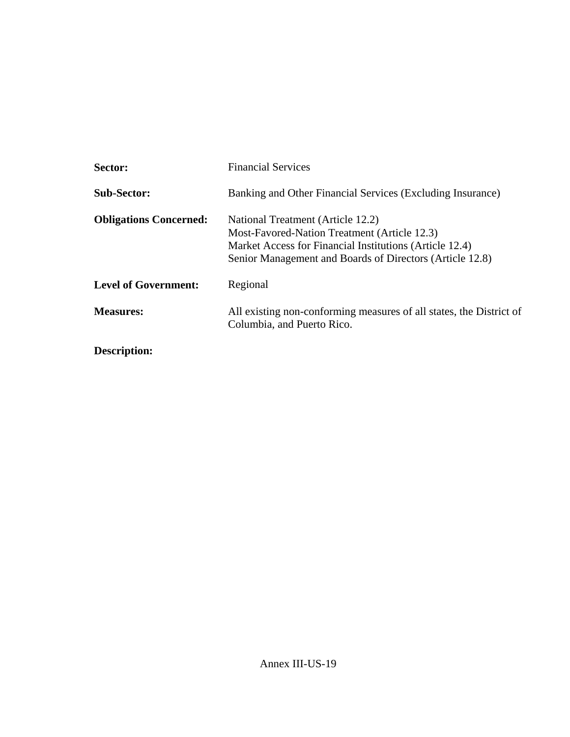| Sector:                       | <b>Financial Services</b>                                                                                                                                                                                |
|-------------------------------|----------------------------------------------------------------------------------------------------------------------------------------------------------------------------------------------------------|
| <b>Sub-Sector:</b>            | Banking and Other Financial Services (Excluding Insurance)                                                                                                                                               |
| <b>Obligations Concerned:</b> | National Treatment (Article 12.2)<br>Most-Favored-Nation Treatment (Article 12.3)<br>Market Access for Financial Institutions (Article 12.4)<br>Senior Management and Boards of Directors (Article 12.8) |
| <b>Level of Government:</b>   | Regional                                                                                                                                                                                                 |
| <b>Measures:</b>              | All existing non-conforming measures of all states, the District of<br>Columbia, and Puerto Rico.                                                                                                        |
| Description:                  |                                                                                                                                                                                                          |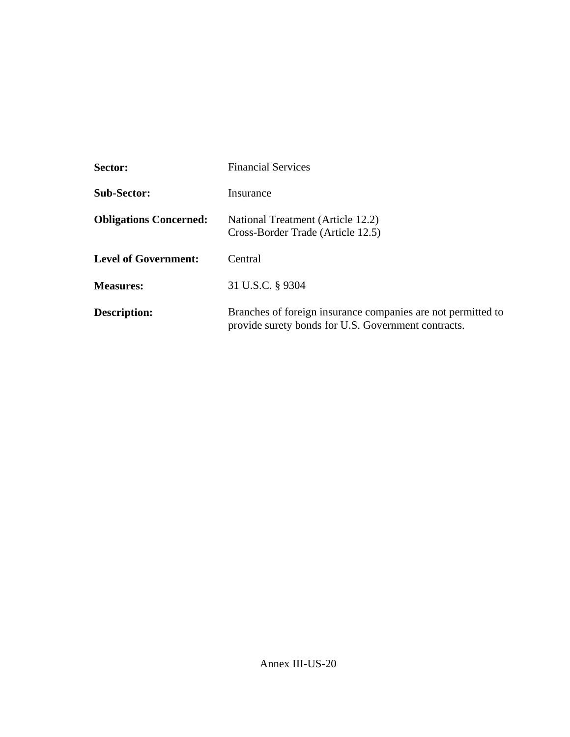| Sector:                       | <b>Financial Services</b>                                                                                           |
|-------------------------------|---------------------------------------------------------------------------------------------------------------------|
| <b>Sub-Sector:</b>            | Insurance                                                                                                           |
| <b>Obligations Concerned:</b> | National Treatment (Article 12.2)<br>Cross-Border Trade (Article 12.5)                                              |
| <b>Level of Government:</b>   | Central                                                                                                             |
| <b>Measures:</b>              | 31 U.S.C. § 9304                                                                                                    |
| <b>Description:</b>           | Branches of foreign insurance companies are not permitted to<br>provide surety bonds for U.S. Government contracts. |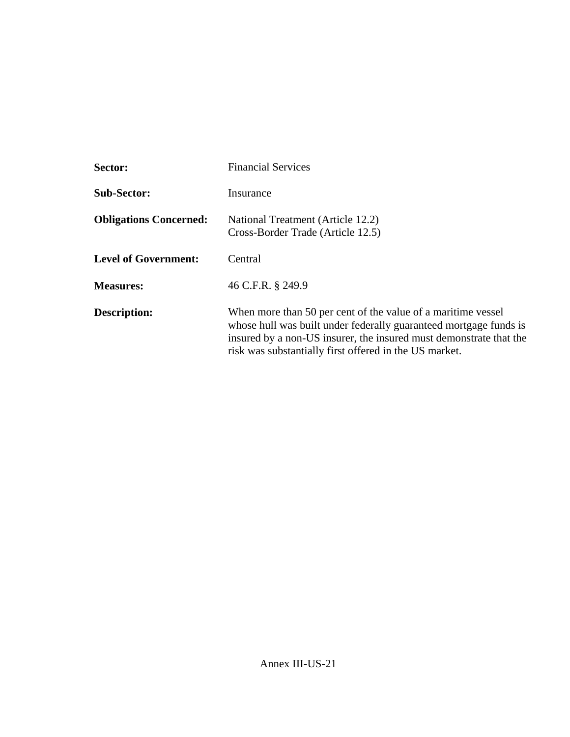| Sector:                       | <b>Financial Services</b>                                                                                                                                                                                                                                         |
|-------------------------------|-------------------------------------------------------------------------------------------------------------------------------------------------------------------------------------------------------------------------------------------------------------------|
| <b>Sub-Sector:</b>            | Insurance                                                                                                                                                                                                                                                         |
| <b>Obligations Concerned:</b> | National Treatment (Article 12.2)<br>Cross-Border Trade (Article 12.5)                                                                                                                                                                                            |
| <b>Level of Government:</b>   | Central                                                                                                                                                                                                                                                           |
| <b>Measures:</b>              | 46 C.F.R. § 249.9                                                                                                                                                                                                                                                 |
| Description:                  | When more than 50 per cent of the value of a maritime vessel<br>whose hull was built under federally guaranteed mortgage funds is<br>insured by a non-US insurer, the insured must demonstrate that the<br>risk was substantially first offered in the US market. |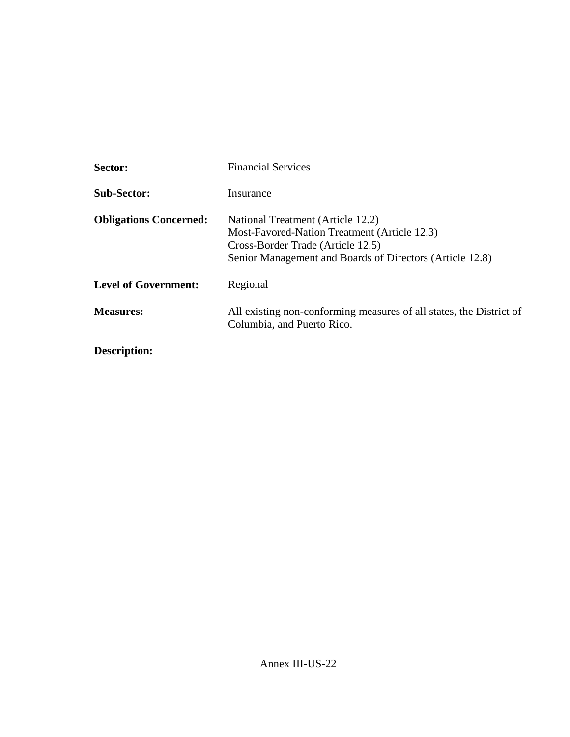| Sector:                       | <b>Financial Services</b>                                                                                                                                                          |
|-------------------------------|------------------------------------------------------------------------------------------------------------------------------------------------------------------------------------|
| <b>Sub-Sector:</b>            | Insurance                                                                                                                                                                          |
| <b>Obligations Concerned:</b> | National Treatment (Article 12.2)<br>Most-Favored-Nation Treatment (Article 12.3)<br>Cross-Border Trade (Article 12.5)<br>Senior Management and Boards of Directors (Article 12.8) |
| <b>Level of Government:</b>   | Regional                                                                                                                                                                           |
| <b>Measures:</b>              | All existing non-conforming measures of all states, the District of<br>Columbia, and Puerto Rico.                                                                                  |
| <b>Description:</b>           |                                                                                                                                                                                    |